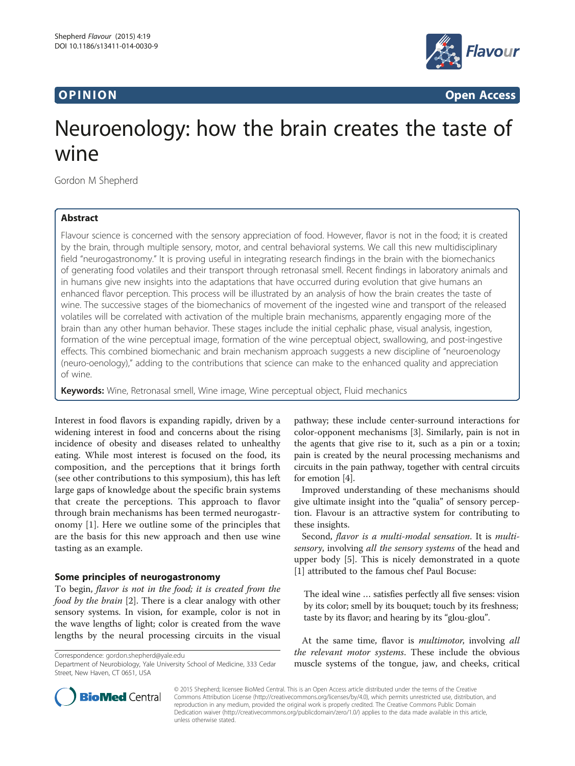

**OPINION** CONSIDERED AT A CONSIDERED ASSESSED AND THE OPEN ACCESS OPEN ACCESS OPEN ACCESS

# Neuroenology: how the brain creates the taste of wine

Gordon M Shepherd

# Abstract

Flavour science is concerned with the sensory appreciation of food. However, flavor is not in the food; it is created by the brain, through multiple sensory, motor, and central behavioral systems. We call this new multidisciplinary field "neurogastronomy." It is proving useful in integrating research findings in the brain with the biomechanics of generating food volatiles and their transport through retronasal smell. Recent findings in laboratory animals and in humans give new insights into the adaptations that have occurred during evolution that give humans an enhanced flavor perception. This process will be illustrated by an analysis of how the brain creates the taste of wine. The successive stages of the biomechanics of movement of the ingested wine and transport of the released volatiles will be correlated with activation of the multiple brain mechanisms, apparently engaging more of the brain than any other human behavior. These stages include the initial cephalic phase, visual analysis, ingestion, formation of the wine perceptual image, formation of the wine perceptual object, swallowing, and post-ingestive effects. This combined biomechanic and brain mechanism approach suggests a new discipline of "neuroenology (neuro-oenology)," adding to the contributions that science can make to the enhanced quality and appreciation of wine.

Keywords: Wine, Retronasal smell, Wine image, Wine perceptual object, Fluid mechanics

Interest in food flavors is expanding rapidly, driven by a widening interest in food and concerns about the rising incidence of obesity and diseases related to unhealthy eating. While most interest is focused on the food, its composition, and the perceptions that it brings forth (see other contributions to this symposium), this has left large gaps of knowledge about the specific brain systems that create the perceptions. This approach to flavor through brain mechanisms has been termed neurogastronomy [[1](#page-4-0)]. Here we outline some of the principles that are the basis for this new approach and then use wine tasting as an example.

# Some principles of neurogastronomy

To begin, flavor is not in the food; it is created from the food by the brain [\[2](#page-4-0)]. There is a clear analogy with other sensory systems. In vision, for example, color is not in the wave lengths of light; color is created from the wave lengths by the neural processing circuits in the visual

Correspondence: [gordon.shepherd@yale.edu](mailto:gordon.shepherd@yale.edu)

pathway; these include center-surround interactions for color-opponent mechanisms [\[3](#page-4-0)]. Similarly, pain is not in the agents that give rise to it, such as a pin or a toxin; pain is created by the neural processing mechanisms and circuits in the pain pathway, together with central circuits for emotion [[4\]](#page-4-0).

Improved understanding of these mechanisms should give ultimate insight into the "qualia" of sensory perception. Flavour is an attractive system for contributing to these insights.

Second, flavor is a multi-modal sensation. It is multisensory, involving all the sensory systems of the head and upper body [[5\]](#page-4-0). This is nicely demonstrated in a quote [[1\]](#page-4-0) attributed to the famous chef Paul Bocuse:

The ideal wine … satisfies perfectly all five senses: vision by its color; smell by its bouquet; touch by its freshness; taste by its flavor; and hearing by its "glou-glou".

At the same time, flavor is *multimotor*, involving all the relevant motor systems. These include the obvious muscle systems of the tongue, jaw, and cheeks, critical



© 2015 Shepherd; licensee BioMed Central. This is an Open Access article distributed under the terms of the Creative Commons Attribution License [\(http://creativecommons.org/licenses/by/4.0\)](http://creativecommons.org/licenses/by/4.0), which permits unrestricted use, distribution, and reproduction in any medium, provided the original work is properly credited. The Creative Commons Public Domain Dedication waiver [\(http://creativecommons.org/publicdomain/zero/1.0/](http://creativecommons.org/publicdomain/zero/1.0/)) applies to the data made available in this article, unless otherwise stated.

Department of Neurobiology, Yale University School of Medicine, 333 Cedar Street, New Haven, CT 0651, USA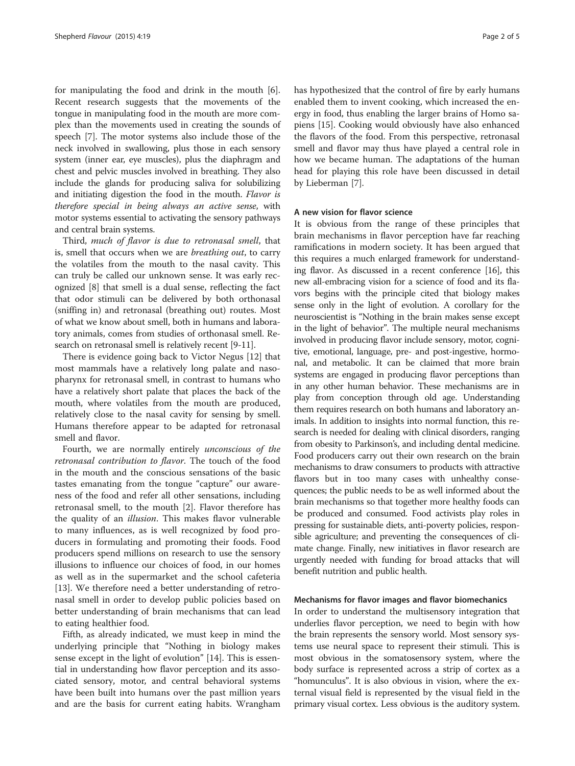for manipulating the food and drink in the mouth [\[6](#page-4-0)]. Recent research suggests that the movements of the tongue in manipulating food in the mouth are more complex than the movements used in creating the sounds of speech [[7\]](#page-4-0). The motor systems also include those of the neck involved in swallowing, plus those in each sensory system (inner ear, eye muscles), plus the diaphragm and chest and pelvic muscles involved in breathing. They also include the glands for producing saliva for solubilizing and initiating digestion the food in the mouth. Flavor is therefore special in being always an active sense, with motor systems essential to activating the sensory pathways and central brain systems.

Third, much of flavor is due to retronasal smell, that is, smell that occurs when we are breathing out, to carry the volatiles from the mouth to the nasal cavity. This can truly be called our unknown sense. It was early recognized [\[8\]](#page-4-0) that smell is a dual sense, reflecting the fact that odor stimuli can be delivered by both orthonasal (sniffing in) and retronasal (breathing out) routes. Most of what we know about smell, both in humans and laboratory animals, comes from studies of orthonasal smell. Research on retronasal smell is relatively recent [[9-11\]](#page-4-0).

There is evidence going back to Victor Negus [[12](#page-4-0)] that most mammals have a relatively long palate and nasopharynx for retronasal smell, in contrast to humans who have a relatively short palate that places the back of the mouth, where volatiles from the mouth are produced, relatively close to the nasal cavity for sensing by smell. Humans therefore appear to be adapted for retronasal smell and flavor.

Fourth, we are normally entirely unconscious of the retronasal contribution to flavor. The touch of the food in the mouth and the conscious sensations of the basic tastes emanating from the tongue "capture" our awareness of the food and refer all other sensations, including retronasal smell, to the mouth [\[2](#page-4-0)]. Flavor therefore has the quality of an illusion. This makes flavor vulnerable to many influences, as is well recognized by food producers in formulating and promoting their foods. Food producers spend millions on research to use the sensory illusions to influence our choices of food, in our homes as well as in the supermarket and the school cafeteria [[13\]](#page-4-0). We therefore need a better understanding of retronasal smell in order to develop public policies based on better understanding of brain mechanisms that can lead to eating healthier food.

Fifth, as already indicated, we must keep in mind the underlying principle that "Nothing in biology makes sense except in the light of evolution" [\[14\]](#page-4-0). This is essential in understanding how flavor perception and its associated sensory, motor, and central behavioral systems have been built into humans over the past million years and are the basis for current eating habits. Wrangham has hypothesized that the control of fire by early humans enabled them to invent cooking, which increased the energy in food, thus enabling the larger brains of Homo sapiens [[15](#page-4-0)]. Cooking would obviously have also enhanced the flavors of the food. From this perspective, retronasal smell and flavor may thus have played a central role in how we became human. The adaptations of the human head for playing this role have been discussed in detail by Lieberman [[7\]](#page-4-0).

# A new vision for flavor science

It is obvious from the range of these principles that brain mechanisms in flavor perception have far reaching ramifications in modern society. It has been argued that this requires a much enlarged framework for understanding flavor. As discussed in a recent conference [\[16\]](#page-4-0), this new all-embracing vision for a science of food and its flavors begins with the principle cited that biology makes sense only in the light of evolution. A corollary for the neuroscientist is "Nothing in the brain makes sense except in the light of behavior". The multiple neural mechanisms involved in producing flavor include sensory, motor, cognitive, emotional, language, pre- and post-ingestive, hormonal, and metabolic. It can be claimed that more brain systems are engaged in producing flavor perceptions than in any other human behavior. These mechanisms are in play from conception through old age. Understanding them requires research on both humans and laboratory animals. In addition to insights into normal function, this research is needed for dealing with clinical disorders, ranging from obesity to Parkinson's, and including dental medicine. Food producers carry out their own research on the brain mechanisms to draw consumers to products with attractive flavors but in too many cases with unhealthy consequences; the public needs to be as well informed about the brain mechanisms so that together more healthy foods can be produced and consumed. Food activists play roles in pressing for sustainable diets, anti-poverty policies, responsible agriculture; and preventing the consequences of climate change. Finally, new initiatives in flavor research are urgently needed with funding for broad attacks that will benefit nutrition and public health.

## Mechanisms for flavor images and flavor biomechanics

In order to understand the multisensory integration that underlies flavor perception, we need to begin with how the brain represents the sensory world. Most sensory systems use neural space to represent their stimuli. This is most obvious in the somatosensory system, where the body surface is represented across a strip of cortex as a "homunculus". It is also obvious in vision, where the external visual field is represented by the visual field in the primary visual cortex. Less obvious is the auditory system.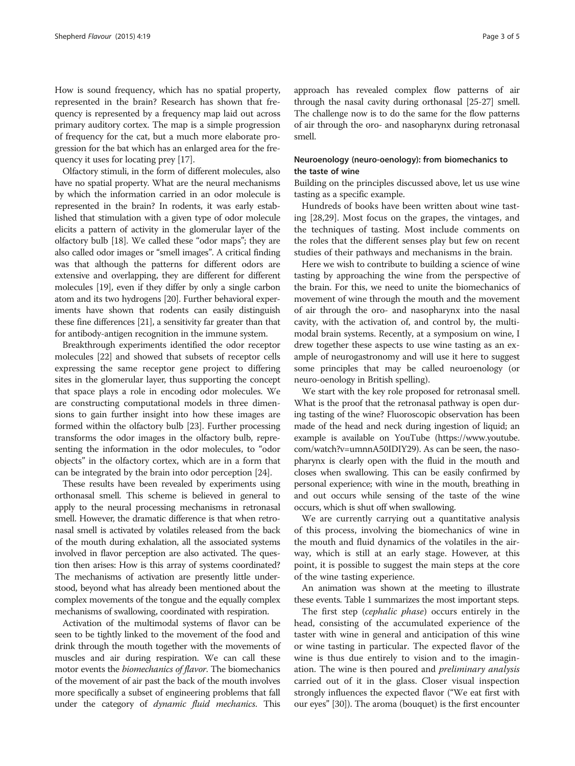How is sound frequency, which has no spatial property, represented in the brain? Research has shown that frequency is represented by a frequency map laid out across primary auditory cortex. The map is a simple progression of frequency for the cat, but a much more elaborate progression for the bat which has an enlarged area for the frequency it uses for locating prey [\[17\]](#page-4-0).

Olfactory stimuli, in the form of different molecules, also have no spatial property. What are the neural mechanisms by which the information carried in an odor molecule is represented in the brain? In rodents, it was early established that stimulation with a given type of odor molecule elicits a pattern of activity in the glomerular layer of the olfactory bulb [\[18\]](#page-4-0). We called these "odor maps"; they are also called odor images or "smell images". A critical finding was that although the patterns for different odors are extensive and overlapping, they are different for different molecules [[19](#page-4-0)], even if they differ by only a single carbon atom and its two hydrogens [[20](#page-4-0)]. Further behavioral experiments have shown that rodents can easily distinguish these fine differences [\[21\]](#page-4-0), a sensitivity far greater than that for antibody-antigen recognition in the immune system.

Breakthrough experiments identified the odor receptor molecules [[22](#page-4-0)] and showed that subsets of receptor cells expressing the same receptor gene project to differing sites in the glomerular layer, thus supporting the concept that space plays a role in encoding odor molecules. We are constructing computational models in three dimensions to gain further insight into how these images are formed within the olfactory bulb [[23](#page-4-0)]. Further processing transforms the odor images in the olfactory bulb, representing the information in the odor molecules, to "odor objects" in the olfactory cortex, which are in a form that can be integrated by the brain into odor perception [\[24\]](#page-4-0).

These results have been revealed by experiments using orthonasal smell. This scheme is believed in general to apply to the neural processing mechanisms in retronasal smell. However, the dramatic difference is that when retronasal smell is activated by volatiles released from the back of the mouth during exhalation, all the associated systems involved in flavor perception are also activated. The question then arises: How is this array of systems coordinated? The mechanisms of activation are presently little understood, beyond what has already been mentioned about the complex movements of the tongue and the equally complex mechanisms of swallowing, coordinated with respiration.

Activation of the multimodal systems of flavor can be seen to be tightly linked to the movement of the food and drink through the mouth together with the movements of muscles and air during respiration. We can call these motor events the *biomechanics of flavor*. The biomechanics of the movement of air past the back of the mouth involves more specifically a subset of engineering problems that fall under the category of dynamic fluid mechanics. This

approach has revealed complex flow patterns of air through the nasal cavity during orthonasal [\[25-27\]](#page-4-0) smell. The challenge now is to do the same for the flow patterns of air through the oro- and nasopharynx during retronasal smell.

# Neuroenology (neuro-oenology): from biomechanics to the taste of wine

Building on the principles discussed above, let us use wine tasting as a specific example.

Hundreds of books have been written about wine tasting [\[28,29\]](#page-4-0). Most focus on the grapes, the vintages, and the techniques of tasting. Most include comments on the roles that the different senses play but few on recent studies of their pathways and mechanisms in the brain.

Here we wish to contribute to building a science of wine tasting by approaching the wine from the perspective of the brain. For this, we need to unite the biomechanics of movement of wine through the mouth and the movement of air through the oro- and nasopharynx into the nasal cavity, with the activation of, and control by, the multimodal brain systems. Recently, at a symposium on wine, I drew together these aspects to use wine tasting as an example of neurogastronomy and will use it here to suggest some principles that may be called neuroenology (or neuro-oenology in British spelling).

We start with the key role proposed for retronasal smell. What is the proof that the retronasal pathway is open during tasting of the wine? Fluoroscopic observation has been made of the head and neck during ingestion of liquid; an example is available on YouTube ([https://www.youtube.](https://www.youtube.com/watch?v=umnnA50IDIY29) [com/watch?v=umnnA50IDIY29](https://www.youtube.com/watch?v=umnnA50IDIY29)). As can be seen, the nasopharynx is clearly open with the fluid in the mouth and closes when swallowing. This can be easily confirmed by personal experience; with wine in the mouth, breathing in and out occurs while sensing of the taste of the wine occurs, which is shut off when swallowing.

We are currently carrying out a quantitative analysis of this process, involving the biomechanics of wine in the mouth and fluid dynamics of the volatiles in the airway, which is still at an early stage. However, at this point, it is possible to suggest the main steps at the core of the wine tasting experience.

An animation was shown at the meeting to illustrate these events. Table [1](#page-3-0) summarizes the most important steps.

The first step (cephalic phase) occurs entirely in the head, consisting of the accumulated experience of the taster with wine in general and anticipation of this wine or wine tasting in particular. The expected flavor of the wine is thus due entirely to vision and to the imagination. The wine is then poured and *preliminary analysis* carried out of it in the glass. Closer visual inspection strongly influences the expected flavor ("We eat first with our eyes" [\[30\]](#page-4-0)). The aroma (bouquet) is the first encounter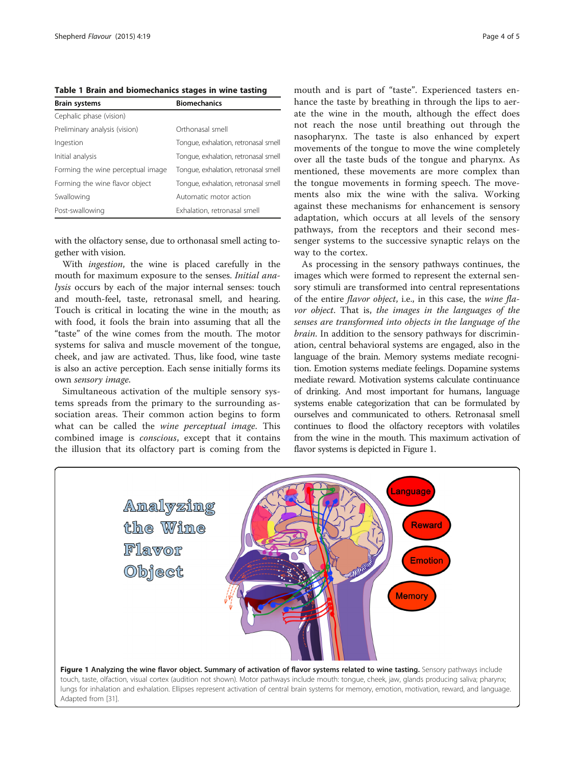<span id="page-3-0"></span>Table 1 Brain and biomechanics stages in wine tasting

| <b>Brain systems</b>              | <b>Biomechanics</b>                  |
|-----------------------------------|--------------------------------------|
| Cephalic phase (vision)           |                                      |
| Preliminary analysis (vision)     | Orthonasal smell                     |
| Ingestion                         | Tongue, exhalation, retronasal smell |
| Initial analysis                  | Tonque, exhalation, retronasal smell |
| Forming the wine perceptual image | Tonque, exhalation, retronasal smell |
| Forming the wine flavor object    | Tongue, exhalation, retronasal smell |
| Swallowing                        | Automatic motor action               |
| Post-swallowing                   | Exhalation, retronasal smell         |

with the olfactory sense, due to orthonasal smell acting together with vision.

With ingestion, the wine is placed carefully in the mouth for maximum exposure to the senses. Initial analysis occurs by each of the major internal senses: touch and mouth-feel, taste, retronasal smell, and hearing. Touch is critical in locating the wine in the mouth; as with food, it fools the brain into assuming that all the "taste" of the wine comes from the mouth. The motor systems for saliva and muscle movement of the tongue, cheek, and jaw are activated. Thus, like food, wine taste is also an active perception. Each sense initially forms its own sensory image.

Simultaneous activation of the multiple sensory systems spreads from the primary to the surrounding association areas. Their common action begins to form what can be called the *wine perceptual image*. This combined image is conscious, except that it contains the illusion that its olfactory part is coming from the

mouth and is part of "taste". Experienced tasters enhance the taste by breathing in through the lips to aerate the wine in the mouth, although the effect does not reach the nose until breathing out through the nasopharynx. The taste is also enhanced by expert movements of the tongue to move the wine completely over all the taste buds of the tongue and pharynx. As mentioned, these movements are more complex than the tongue movements in forming speech. The movements also mix the wine with the saliva. Working against these mechanisms for enhancement is sensory adaptation, which occurs at all levels of the sensory pathways, from the receptors and their second messenger systems to the successive synaptic relays on the way to the cortex.

As processing in the sensory pathways continues, the images which were formed to represent the external sensory stimuli are transformed into central representations of the entire flavor object, i.e., in this case, the wine flavor object. That is, the images in the languages of the senses are transformed into objects in the language of the brain. In addition to the sensory pathways for discrimination, central behavioral systems are engaged, also in the language of the brain. Memory systems mediate recognition. Emotion systems mediate feelings. Dopamine systems mediate reward. Motivation systems calculate continuance of drinking. And most important for humans, language systems enable categorization that can be formulated by ourselves and communicated to others. Retronasal smell continues to flood the olfactory receptors with volatiles from the wine in the mouth. This maximum activation of flavor systems is depicted in Figure 1.